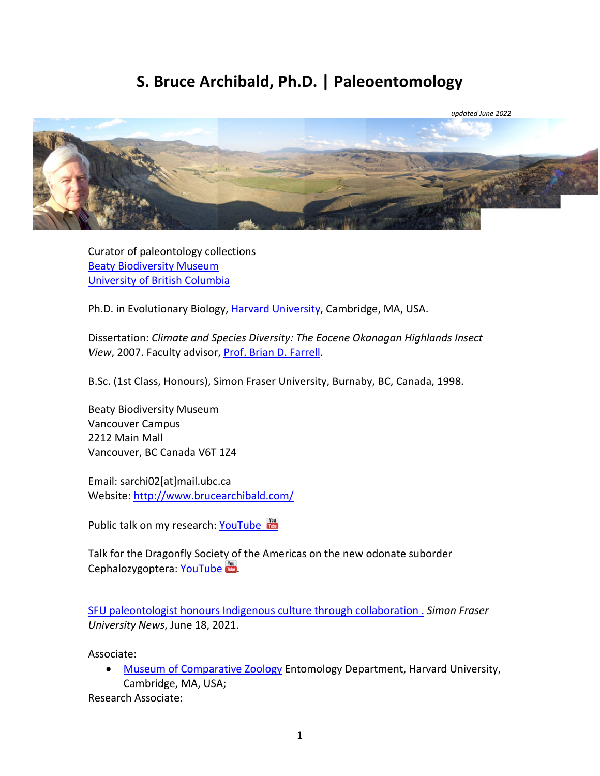# **S. Bruce Archibald, Ph.D. | Paleoentomology**



Curator of paleontology collections [Beaty Biodiversity Museum](https://beatymuseum.ubc.ca/) [University of British Columbia](https://www.ubc.ca/)

Ph.D. in Evolutionary Biology, [Harvard University,](http://www.oeb.harvard.edu/) Cambridge, MA, USA.

Dissertation: *Climate and Species Diversity: The Eocene Okanagan Highlands Insect View*, 2007. Faculty advisor, [Prof. Brian D. Farrell.](http://farrell.oeb.harvard.edu/)

B.Sc. (1st Class, Honours), Simon Fraser University, Burnaby, BC, Canada, 1998.

Beaty Biodiversity Museum Vancouver Campus 2212 Main Mall Vancouver, BC Canada V6T 1Z4

Email: sarchi02[at]mail.ubc.ca Website:<http://www.brucearchibald.com/>

Public talk on my research: YouTube

Talk for the Dragonfly Society of the Americas on the new odonate suborder Cephalozygoptera: [YouTube](https://www.youtube.com/watch?v=lMaqGjuOxpc) **...** 

[SFU paleontologist honours Indigenous culture through collaboration .](http://www.sfu.ca/sfunews/stories/2021/06/sfu-paleontologist-honours-indigenous-culture-through-collaborat.html) *Simon Fraser University News*, June 18, 2021.

Associate:

• [Museum of Comparative Zoology](http://www.mcz.harvard.edu/) Entomology Department, Harvard University, Cambridge, MA, USA;

Research Associate: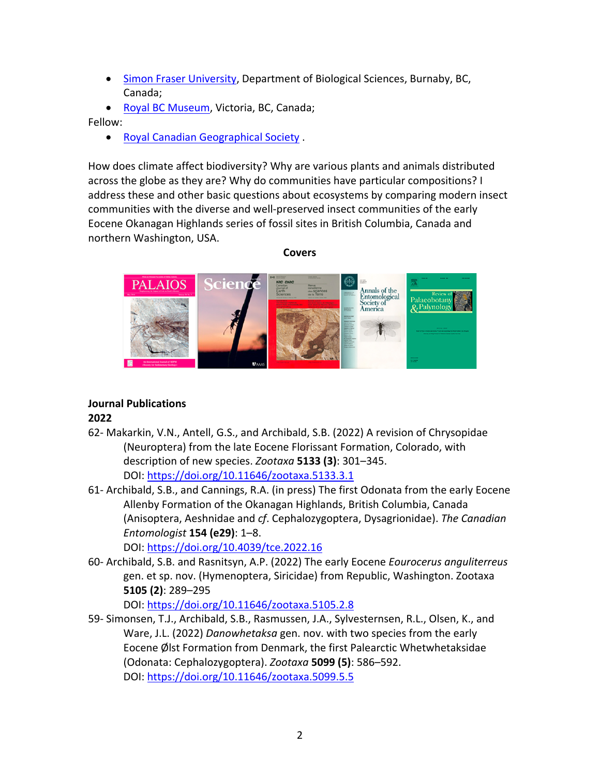- [Simon Fraser University,](http://www.sfu.ca/biology.html) Department of Biological Sciences, Burnaby, BC, Canada;
- [Royal BC Museum,](http://royalbcmuseum.bc.ca/) Victoria, BC, Canada;

Fellow:

• [Royal Canadian Geographical](http://www.rcgs.org/about/fellows/) Society .

How does climate affect biodiversity? Why are various plants and animals distributed across the globe as they are? Why do communities have particular compositions? I address these and other basic questions about ecosystems by comparing modern insect communities with the diverse and well-preserved insect communities of the early Eocene Okanagan Highlands series of fossil sites in British Columbia, Canada and northern Washington, USA.

**Covers**



#### **Journal Publications 2022**

- 62- Makarkin, V.N., Antell, G.S., and Archibald, S.B. (2022) A revision of Chrysopidae (Neuroptera) from the late Eocene Florissant Formation, Colorado, with description of new species. *Zootaxa* **5133 (3)**: 301–345. DOI:<https://doi.org/10.11646/zootaxa.5133.3.1>
- 61- Archibald, S.B., and Cannings, R.A. (in press) The first Odonata from the early Eocene Allenby Formation of the Okanagan Highlands, British Columbia, Canada (Anisoptera, Aeshnidae and *cf*. Cephalozygoptera, Dysagrionidae). *The Canadian Entomologist* **154 (e29)**: 1–8.

DOI:<https://doi.org/10.4039/tce.2022.16>

60- Archibald, S.B. and Rasnitsyn, A.P. (2022) The early Eocene *Eourocerus anguliterreus*  gen. et sp. nov. (Hymenoptera, Siricidae) from Republic, Washington. Zootaxa **5105 (2)**: 289–295

DOI:<https://doi.org/10.11646/zootaxa.5105.2.8>

59- Simonsen, T.J., Archibald, S.B., Rasmussen, J.A., Sylvesternsen, R.L., Olsen, K., and Ware, J.L. (2022) *Danowhetaksa* gen. nov. with two species from the early Eocene Ølst Formation from Denmark, the first Palearctic Whetwhetaksidae (Odonata: Cephalozygoptera). *Zootaxa* **5099 (5)**: 586–592. DOI:<https://doi.org/10.11646/zootaxa.5099.5.5>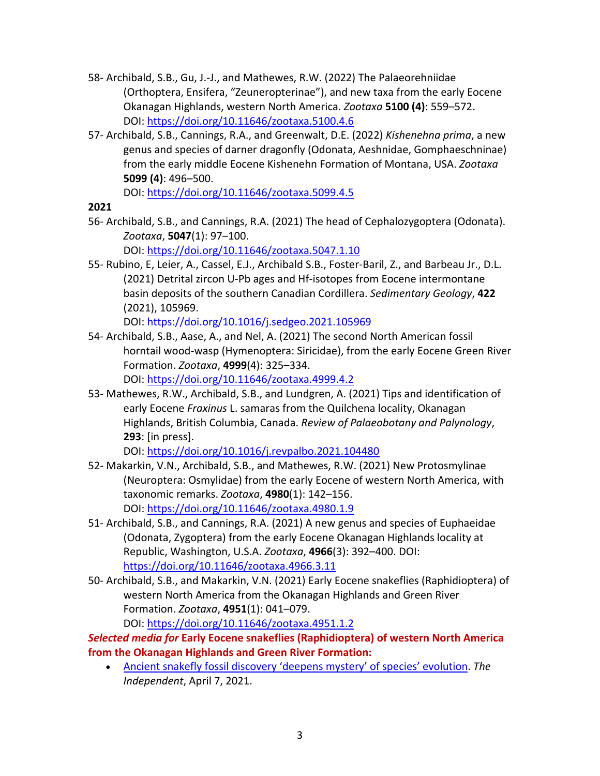- 58- Archibald, S.B., Gu, J.-J., and Mathewes, R.W. (2022) The Palaeorehniidae (Orthoptera, Ensifera, "Zeuneropterinae"), and new taxa from the early Eocene Okanagan Highlands, western North America. *Zootaxa* **5100 (4)**: 559–572. DOI: <https://doi.org/10.11646/zootaxa.5100.4.6>
- 57- Archibald, S.B., Cannings, R.A., and Greenwalt, D.E. (2022) *Kishenehna prima*, a new genus and species of darner dragonfly (Odonata, Aeshnidae, Gomphaeschninae) from the early middle Eocene Kishenehn Formation of Montana, USA. *Zootaxa* **5099 (4)**: 496–500.

DOI:<https://doi.org/10.11646/zootaxa.5099.4.5>

**2021**

56- Archibald, S.B., and Cannings, R.A. (2021) The head of Cephalozygoptera (Odonata). *Zootaxa*, **5047**(1): 97–100.

DOI:<https://doi.org/10.11646/zootaxa.5047.1.10>

55- Rubino, E, Leier, A., Cassel, E.J., Archibald S.B., Foster-Baril, Z., and Barbeau Jr., D.L. (2021) Detrital zircon U-Pb ages and Hf-isotopes from Eocene intermontane basin deposits of the southern Canadian Cordillera. *Sedimentary Geology*, **422** (2021), 105969.

DOI: https://doi.org/10.1016/j.sedgeo.2021.105969

- 54- Archibald, S.B., Aase, A., and Nel, A. (2021) The second North American fossil horntail wood-wasp (Hymenoptera: Siricidae), from the early Eocene Green River Formation. *Zootaxa*, **4999**(4): 325–334. DOI: <https://doi.org/10.11646/zootaxa.4999.4.2>
- 53- Mathewes, R.W., Archibald, S.B., and Lundgren, A. (2021) Tips and identification of early Eocene *Fraxinus* L. samaras from the Quilchena locality, Okanagan Highlands, British Columbia, Canada. *Review of Palaeobotany and Palynology*, **293**: [in press].

DOI: <https://doi.org/10.1016/j.revpalbo.2021.104480>

- 52- Makarkin, V.N., Archibald, S.B., and Mathewes, R.W. (2021) New Protosmylinae (Neuroptera: Osmylidae) from the early Eocene of western North America, with taxonomic remarks. *Zootaxa*, **4980**(1): 142–156. DOI: <https://doi.org/10.11646/zootaxa.4980.1.9>
- 51- Archibald, S.B., and Cannings, R.A. (2021) A new genus and species of Euphaeidae (Odonata, Zygoptera) from the early Eocene Okanagan Highlands locality at Republic, Washington, U.S.A. *Zootaxa*, **4966**(3): 392–400. DOI: <https://doi.org/10.11646/zootaxa.4966.3.11>
- 50- Archibald, S.B., and Makarkin, V.N. (2021) Early Eocene snakeflies (Raphidioptera) of western North America from the Okanagan Highlands and Green River Formation. *Zootaxa*, **4951**(1): 041–079.

DOI:<https://doi.org/10.11646/zootaxa.4951.1.2>

*Selected media for* **Early Eocene snakeflies (Raphidioptera) of western North America from the Okanagan Highlands and Green River Formation:**

• [Ancient snakefly fossil discovery 'deepens mystery' of species' evolution.](https://www.independent.co.uk/independentpremium/snakefly-fossil-climate-evolution-washington-b1828064.html) *The Independent*, April 7, 2021.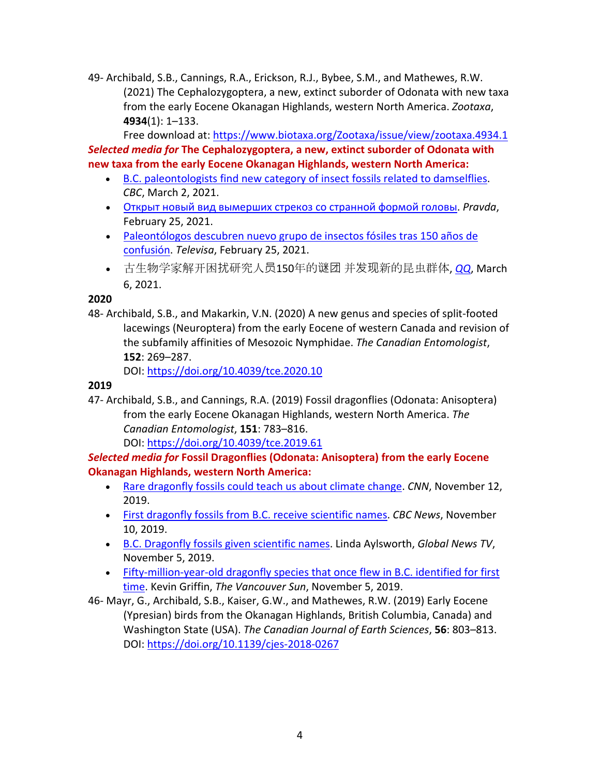49- Archibald, S.B., Cannings, R.A., Erickson, R.J., Bybee, S.M., and Mathewes, R.W. (2021) The Cephalozygoptera, a new, extinct suborder of Odonata with new taxa from the early Eocene Okanagan Highlands, western North America. *Zootaxa*, **4934**(1): 1–133.

Free download at:<https://www.biotaxa.org/Zootaxa/issue/view/zootaxa.4934.1> *Selected media for* **The Cephalozygoptera, a new, extinct suborder of Odonata with new taxa from the early Eocene Okanagan Highlands, western North America:**

- [B.C. paleontologists find new category of insect fossils related to damselflies.](https://www.cbc.ca/news/canada/british-columbia/bruce-archibald-damselfly-fossil-1.5932817) *CBC*, March 2, 2021.
- [Открыт новый вид вымерших стрекоз со странной формой головы](https://www.pravda.ru/news/science/1595138-strekoza/). *Pravda*, February 25, 2021.
- [Paleontólogos descubren nuevo grupo de insectos fósiles tras 150 años de](https://www.televisa.com/noticias/paleontologos-descubren-nuevo-grupo-de-insectos-fosiles-tras-150-anos-de-confusion/)  [confusión.](https://www.televisa.com/noticias/paleontologos-descubren-nuevo-grupo-de-insectos-fosiles-tras-150-anos-de-confusion/) *Televisa*, February 25, 2021.
- 古生物学家解开困扰研究人员150年的谜团 并发现新的昆虫群体, *[QQ](https://new.qq.com/rain/a/20210309A0ES0F00)*, March 6, 2021.

## **2020**

48- Archibald, S.B., and Makarkin, V.N. (2020) A new genus and species of split-footed lacewings (Neuroptera) from the early Eocene of western Canada and revision of the subfamily affinities of Mesozoic Nymphidae. *The Canadian Entomologist*, **152**: 269–287.

DOI: <https://doi.org/10.4039/tce.2020.10>

### **2019**

47- Archibald, S.B., and Cannings, R.A. (2019) Fossil dragonflies (Odonata: Anisoptera) from the early Eocene Okanagan Highlands, western North America. *The Canadian Entomologist*, **151**: 783–816.

DOI:<https://doi.org/10.4039/tce.2019.61>

*Selected media for* **Fossil Dragonflies (Odonata: Anisoptera) from the early Eocene Okanagan Highlands, western North America:**

- [Rare dragonfly fossils could teach us about climate change.](https://www.cnn.com/2019/11/12/world/dragonfly-fossils-scn-intl/index.html) *CNN*, November 12, 2019.
- [First dragonfly fossils from B.C. receive scientific names.](https://www.cbc.ca/news/canada/british-columbia/kamloops-dragonfly-fossils-1.5349144) *CBC News*, November 10, 2019.
- [B.C. Dragonfly fossils given scientific names.](https://globalnews.ca/video/6134676/b-c-dragonfly-fossils-given-scientific-names) Linda Aylsworth, *Global News TV*, November 5, 2019.
- [Fifty-million-year-old dragonfly species that once flew in B.C. identified for first](https://vancouversun.com/news/local-news/fifty-million-year-old-dragonfly-species-that-once-flew-in-b-c-identified-for-first-time)  [time.](https://vancouversun.com/news/local-news/fifty-million-year-old-dragonfly-species-that-once-flew-in-b-c-identified-for-first-time) Kevin Griffin, *The Vancouver Sun*, November 5, 2019.
- 46- Mayr, G., Archibald, S.B., Kaiser, G.W., and Mathewes, R.W. (2019) Early Eocene (Ypresian) birds from the Okanagan Highlands, British Columbia, Canada) and Washington State (USA). *The Canadian Journal of Earth Sciences*, **56**: 803–813. DOI:<https://doi.org/10.1139/cjes-2018-0267>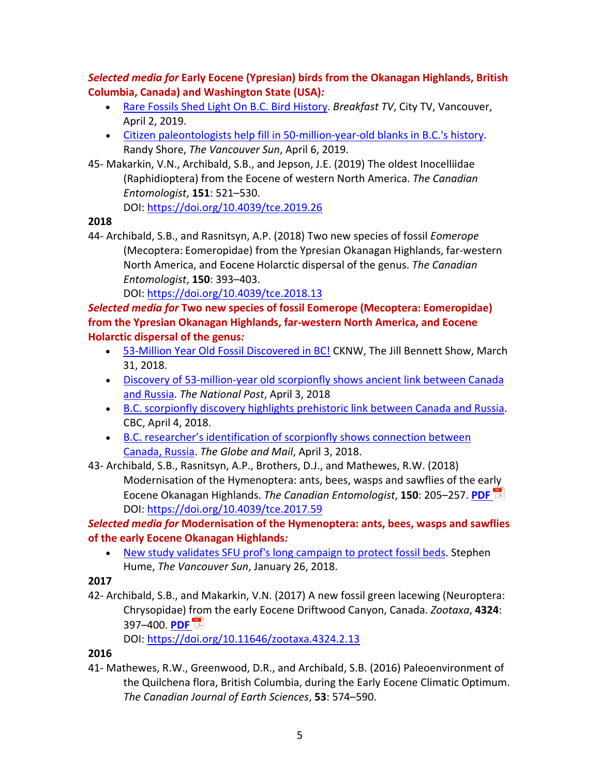*Selected media for* **Early Eocene (Ypresian) birds from the Okanagan Highlands, British Columbia, Canada) and Washington State (USA)***:*

- [Rare Fossils Shed Light On B.C. Bird History.](https://www.btvancouver.ca/videos/rare-fossils-shed-light-on-b-c-bird-history/) *Breakfast TV*, City TV, Vancouver, April 2, 2019.
- [Citizen paleontologists help fill in 50-million-year-old blanks in B.C.'s history.](https://vancouversun.com/news/local-news/citizen-archeologists-help-fill-in-50-million-year-old-blanks-in-b-c-s-history) Randy Shore, *The Vancouver Sun*, April 6, 2019.
- 45- Makarkin, V.N., Archibald, S.B., and Jepson, J.E. (2019) The oldest Inocelliidae (Raphidioptera) from the Eocene of western North America. *The Canadian Entomologist*, **151**: 521–530.

DOI:<https://doi.org/10.4039/tce.2019.26>

#### **2018**

44- Archibald, S.B., and Rasnitsyn, A.P. (2018) Two new species of fossil *Eomerope* (Mecoptera: Eomeropidae) from the Ypresian Okanagan Highlands, far-western North America, and Eocene Holarctic dispersal of the genus. *The Canadian Entomologist*, **150**: 393–403.

DOI:<https://doi.org/10.4039/tce.2018.13>

*Selected media for* **Two new species of fossil Eomerope (Mecoptera: Eomeropidae) from the Ypresian Okanagan Highlands, far-western North America, and Eocene Holarctic dispersal of the genus***:* 

- [53-Million Year Old Fossil Discovered in BC!](https://omny.fm/shows/cknw/53-million-year-old-fossil-discovered-in-bc#description) CKNW, The Jill Bennett Show, March 31, 2018.
- [Discovery of 53-million-year old scorpionfly shows ancient link between Canada](http://nationalpost.com/news/canada/b-c-researchers-identification-of-scorpionfly-shows-canada-russia-connection)  [and Russia.](http://nationalpost.com/news/canada/b-c-researchers-identification-of-scorpionfly-shows-canada-russia-connection) *The National Post*, April 3, 2018
- [B.C. scorpionfly discovery highlights prehistoric link between Canada and Russia.](http://www.cbc.ca/news/canada/british-columbia/b-c-russia-scorpionfly-connection-1.4604551) CBC, April 4, 2018.
- [B.C. researcher's identification of scorpionfly shows connection between](https://www.theglobeandmail.com/canada/british-columbia/article-bc-researchers-identification-of-scorpionfly-similar-to-fossils/)  [Canada, Russia.](https://www.theglobeandmail.com/canada/british-columbia/article-bc-researchers-identification-of-scorpionfly-similar-to-fossils/) *The Globe and Mail*, April 3, 2018.
- 43- Archibald, S.B., Rasnitsyn, A.P., Brothers, D.J., and Mathewes, R.W. (2018) Modernisation of the Hymenoptera: ants, bees, wasps and sawflies of the early Eocene Okanagan Highlands. *The Canadian Entomologist*, **150**: 205–257. **[PDF](http://www.brucearchibald.com/docs/Archibald-et-al-2018-Hymenoptera-early-Eocene-Okanagan-Highlands-small-file-size.pdf)** DOI:<https://doi.org/10.4039/tce.2017.59>

*Selected media for* **Modernisation of the Hymenoptera: ants, bees, wasps and sawflies of the early Eocene Okanagan Highlands***:* 

• [New study validates SFU prof's long campaign to protect fossil beds.](http://vancouversun.com/news/local-news/new-study-validates-sfu-profs-long-campaign-to-protect-fossil-beds) Stephen Hume, *The Vancouver Sun*, January 26, 2018.

# **2017**

42- Archibald, S.B., and Makarkin, V.N. (2017) A new fossil green lacewing (Neuroptera: Chrysopidae) from the early Eocene Driftwood Canyon, Canada. *Zootaxa*, **4324**: 397–400. **[PDF](http://www.brucearchibald.com/docs/Archibald-and-Makarkin-2017-Driftwood-Canyon-Lithochrysa.pdf)**

DOI:<https://doi.org/10.11646/zootaxa.4324.2.13>

# **2016**

41- Mathewes, R.W., Greenwood, D.R., and Archibald, S.B. (2016) Paleoenvironment of the Quilchena flora, British Columbia, during the Early Eocene Climatic Optimum. *The Canadian Journal of Earth Sciences*, **53**: 574–590.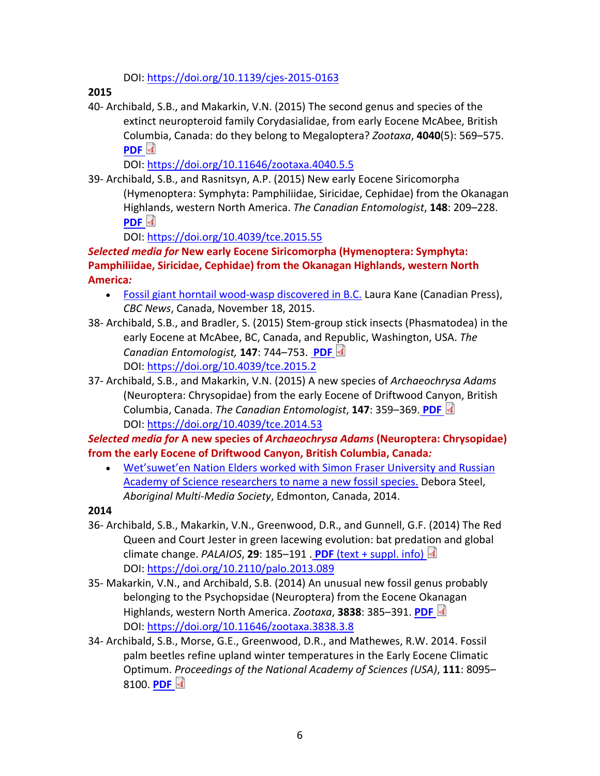DOI:<https://doi.org/10.1139/cjes-2015-0163>

## **2015**

40- Archibald, S.B., and Makarkin, V.N. (2015) The second genus and species of the extinct neuropteroid family Corydasialidae, from early Eocene McAbee, British Columbia, Canada: do they belong to Megaloptera? *Zootaxa*, **4040**(5): 569–575. **[PDF](http://www.brucearchibald.com/docs/Archibald-and-Makarkin-2015-Ypresioneura.pdf)**

DOI:<https://doi.org/10.11646/zootaxa.4040.5.5>

39- Archibald, S.B., and Rasnitsyn, A.P. (2015) New early Eocene Siricomorpha (Hymenoptera: Symphyta: Pamphiliidae, Siricidae, Cephidae) from the Okanagan Highlands, western North America. *The Canadian Entomologist*, **148**: 209–228[.](http://www.brucearchibald.com/docs/Archibald-and-Rasnitsyn-2015-Siricomorpha.pdf) **[PDF](http://www.brucearchibald.com/docs/Archibald-and-Rasnitsyn-2015-Siricomorpha.pdf)**

DOI:<https://doi.org/10.4039/tce.2015.55>

*Selected media for* **New early Eocene Siricomorpha (Hymenoptera: Symphyta: Pamphiliidae, Siricidae, Cephidae) from the Okanagan Highlands, western North America***:* 

- [Fossil giant horntail wood-wasp discovered in B.C.](http://www.cbc.ca/news/technology/giant-wasp-1.3324388) Laura Kane (Canadian Press), *CBC News*, Canada, November 18, 2015.
- 38- Archibald, S.B., and Bradler, S. (2015) Stem-group stick insects (Phasmatodea) in the early Eocene at McAbee, BC, Canada, and Republic, Washington, USA. *The Canadian Entomologist,* **147**: 744–753. **[PDF](http://www.brucearchibald.com/docs/Archibald-and-Bradler-2015-Eocene-Phasmatodea.pdf)** DOI:<https://doi.org/10.4039/tce.2015.2>
- 37- Archibald, S.B., and Makarkin, V.N. (2015) A new species of *Archaeochrysa Adams* (Neuroptera: Chrysopidae) from the early Eocene of Driftwood Canyon, British Columbia, Canada. *The Canadian Entomologist*, **147**: 359–369. **[PDF](http://www.brucearchibald.com/docs/Archibald-and-Makarkin-2015-Archaeochrysa-Driftwood-Canyon.pdf)** DOI:<https://doi.org/10.4039/tce.2014.53>

# *Selected media for* **A new species of** *Archaeochrysa Adams* **(Neuroptera: Chrysopidae) from the early Eocene of Driftwood Canyon, British Columbia, Canada***:*

• [Wet'suwet'en Nation Elders worked with Simon Fraser University and Russian](http://www.ammsa.com/publications/ravens-eye/wet%E2%80%99suwet%E2%80%99en-nation-elders-worked-simon-fraser-university-and-russian-academ)  [Academy of Science researchers to name a new fossil species.](http://www.ammsa.com/publications/ravens-eye/wet%E2%80%99suwet%E2%80%99en-nation-elders-worked-simon-fraser-university-and-russian-academ) Debora Steel, *Aboriginal Multi-Media Society*, Edmonton, Canada, 2014.

#### **2014**

- 36- Archibald, S.B., Makarkin, V.N., Greenwood, D.R., and Gunnell, G.F. (2014) The Red Queen and Court Jester in green lacewing evolution: bat predation and global climate change. *PALAIOS*, **29**: 185–191 . **PDF** [\(text + suppl. info\)](http://www.brucearchibald.com/docs/Archibald-et-al-2014-PALAIOS-text-and-Suppl-info.pdf)  DOI:<https://doi.org/10.2110/palo.2013.089>
- 35- Makarkin, V.N., and Archibald, S.B. (2014) An unusual new fossil genus probably belonging to the Psychopsidae (Neuroptera) from the Eocene Okanagan Highlands, western North America. *Zootaxa*, **3838**: 385–391. **[PDF](http://www.brucearchibald.com/docs/Makarkin-and-Archibald-2014-possible-Psychopsidae.pdf)** DOI:<https://doi.org/10.11646/zootaxa.3838.3.8>
- 34- Archibald, S.B., Morse, G.E., Greenwood, D.R., and Mathewes, R.W. 2014. Fossil palm beetles refine upland winter temperatures in the Early Eocene Climatic Optimum. *Proceedings of the National Academy of Sciences (USA)*, **111**: 8095– 8100. **[PDF](http://www.brucearchibald.com/docs/Archibald-et-al-2014-PNAS-palm-beetles-text-and-SI.pdf)**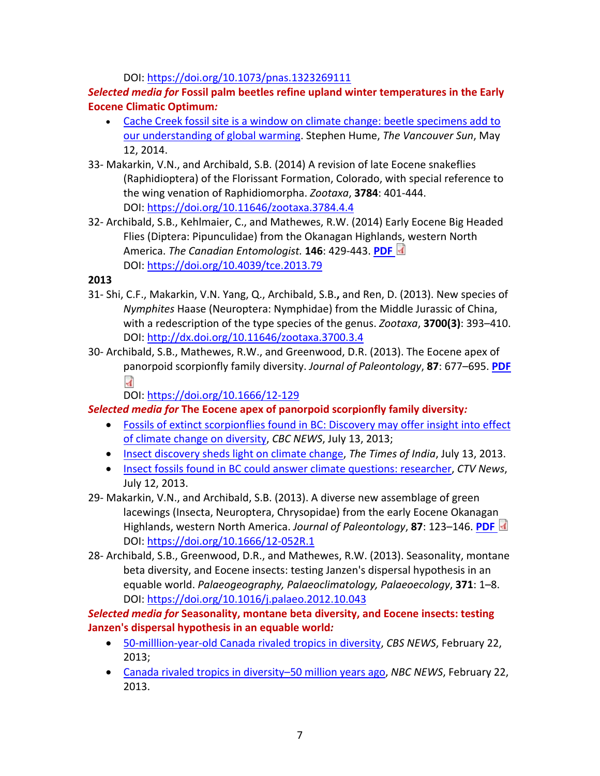DOI:<https://doi.org/10.1073/pnas.1323269111>

*Selected media for* **Fossil palm beetles refine upland winter temperatures in the Early Eocene Climatic Optimum***:* 

- [Cache Creek fossil site is a window on climate change: beetle specimens add to](http://www.vancouversun.com/technology/Stephen+Hume+Cache+Creek+fossil+site+window+climate+change/9831973/story.html)  [our understanding of global warming.](http://www.vancouversun.com/technology/Stephen+Hume+Cache+Creek+fossil+site+window+climate+change/9831973/story.html) Stephen Hume, *The Vancouver Sun*, May 12, 2014.
- 33- Makarkin, V.N., and Archibald, S.B. (2014) A revision of late Eocene snakeflies (Raphidioptera) of the Florissant Formation, Colorado, with special reference to the wing venation of Raphidiomorpha. *Zootaxa*, **3784**: 401-444. DOI:<https://doi.org/10.11646/zootaxa.3784.4.4>
- 32- Archibald, S.B., Kehlmaier, C., and Mathewes, R.W. (2014) Early Eocene Big Headed Flies (Diptera: Pipunculidae) from the Okanagan Highlands, western North America. *The Canadian Entomologist.* **146**: 429-443. **[PDF](http://www.brucearchibald.com/docs/Archibald-et-al-2014-Pipunculidae.pdf)** DOI:<https://doi.org/10.4039/tce.2013.79>

## **2013**

- 31- Shi, C.F., Makarkin, V.N. Yang, Q., Archibald, S.B.**,** and Ren, D. (2013). New species of *Nymphites* Haase (Neuroptera: Nymphidae) from the Middle Jurassic of China, with a redescription of the type species of the genus. *Zootaxa*, **3700(3)**: 393–410. DOI:<http://dx.doi.org/10.11646/zootaxa.3700.3.4>
- 30- Archibald, S.B., Mathewes, R.W., and Greenwood, D.R. (2013). The Eocene apex of panorpoid scorpionfly family diversity. *Journal of Paleontology*, **87**: 677–695. **[PDF](http://www.brucearchibald.com/docs/Archibald_et_al_2013_Eorpidae.pdf)**  $\mathcal{A}$

DOI:<https://doi.org/10.1666/12-129>

*Selected media for* **The Eocene apex of panorpoid scorpionfly family diversity***:* 

- Fossils of extinct scorpionflies found in BC: Discovery may offer insight into effect [of climate change on diversity,](http://www.cbc.ca/news/technology/fossils-of-extinct-scorpionflies-found-in-b-c-1.1374150) *CBC NEWS*, July 13, 2013;
- [Insect discovery sheds light on climate change,](http://timesofindia.indiatimes.com/home/environment/global-warming/Insect-discovery-sheds-light-on-climate-change/articleshow/21052169.cms) *The Times of India*, July 13, 2013.
- [Insect fossils found in BC could answer climate questions: researcher,](http://www.ctvnews.ca/sci-tech/insect-fossils-found-in-b-c-could-answer-climate-questions-researcher-1.1364051) *CTV News*, July 12, 2013.
- 29- Makarkin, V.N., and Archibald, S.B. (2013). A diverse new assemblage of green lacewings (Insecta, Neuroptera, Chrysopidae) from the early Eocene Okanagan Highlands, western North America. *Journal of Paleontology*, **87**: 123–146. **[PDF](http://www.brucearchibald.com/docs/Makarkin%20and%20Archibald%202013%20Chrysopidae.pdf)** DOI:<https://doi.org/10.1666/12-052R.1>
- 28- Archibald, S.B., Greenwood, D.R., and Mathewes, R.W. (2013). Seasonality, montane beta diversity, and Eocene insects: testing Janzen's dispersal hypothesis in an equable world. *Palaeogeography, Palaeoclimatology, Palaeoecology*, **371**: 1–8. DOI:<https://doi.org/10.1016/j.palaeo.2012.10.043>

*Selected media for* **Seasonality, montane beta diversity, and Eocene insects: testing Janzen's dispersal hypothesis in an equable world***:* 

- [50-milllion-year-old Canada rivaled tropics in diversity,](http://www.cbsnews.com/news/50-milllion-year-old-canada-rivaled-tropics-in-diversity/) *CBS NEWS*, February 22, 2013;
- [Canada rivaled tropics in diversity–50 million years ago,](http://science.nbcnews.com/_news/2013/02/22/17057719-canada-rivaled-tropics-in-diversity-50-million-years-ago?lite) *NBC NEWS*, February 22, 2013.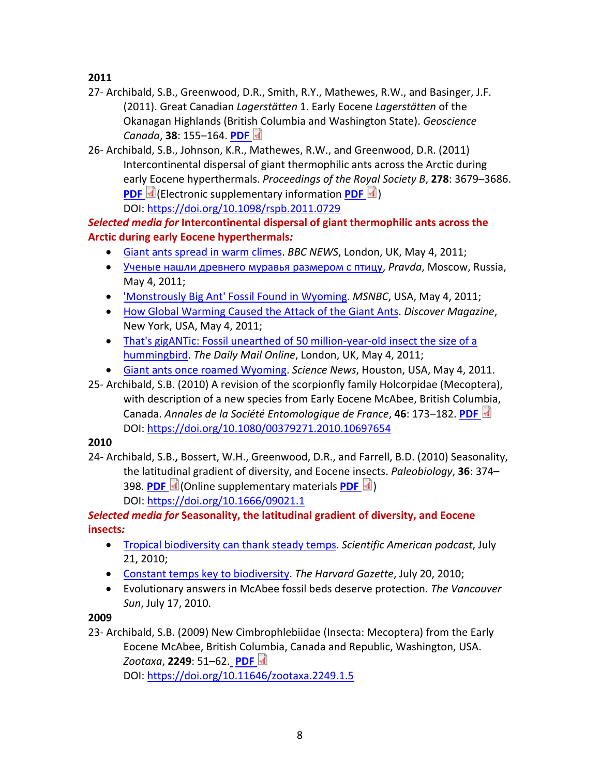**2011** 

- 27- Archibald, S.B., Greenwood, D.R., Smith, R.Y., Mathewes, R.W., and Basinger, J.F. (2011). Great Canadian *Lagerstätten* 1. Early Eocene *Lagerstätten* of the Okanagan Highlands (British Columbia and Washington State). *Geoscience Canada*, **38**: 155–164. **[PDF](http://www.brucearchibald.com/docs/Archibald_et_al_2011_Great_Cdn_Lagerstatten.pdf)**
- 26- Archibald, S.B., Johnson, K.R., Mathewes, R.W., and Greenwood, D.R. (2011) Intercontinental dispersal of giant thermophilic ants across the Arctic during early Eocene hyperthermals. *Proceedings of the Royal Society B*, **278**: 3679–3686. **[PDF](http://www.brucearchibald.com/docs/Archibald_et_al_2011.pdf)** (Electronic supplementary information **[PDF](http://www.brucearchibald.com/docs/Archibald_et_al_2011_electronic_supplementary_information.pdf)** ) DOI:<https://doi.org/10.1098/rspb.2011.0729>

*Selected media for* **Intercontinental dispersal of giant thermophilic ants across the Arctic during early Eocene hyperthermals***:* 

- [Giant ants spread in warm climes.](http://www.bbc.co.uk/news/science-environment-13269302) *BBC NEWS*, London, UK, May 4, 2011;
- [Ученые нашли древнего муравья размером с птицу](http://www.pravda.ru/news/science/04-05-2011/1075758-muravi-0/), *Pravda*, Moscow, Russia, May 4, 2011;
- ['Monstrously Big Ant' Fossil Found in Wyoming.](http://www.nbcnews.com/id/42888027#.VHS8wYU9-Is) *MSNBC*, USA, May 4, 2011;
- [How Global Warming Caused the Attack of the Giant Ants.](http://blogs.discovermagazine.com/discoblog/2011/05/04/how-global-warming-caused-the-attack-of-the-giant-ants/#.VHS83IU9-Is) *Discover Magazine*, New York, USA, May 4, 2011;
- That's gigANTic: Fossil unearthed of 50 million-year-old insect the size of a [hummingbird.](http://www.dailymail.co.uk/sciencetech/article-1383400/Thats-gigANTic-Fossil-unearthed-50-million-year-old-insect-size-hummingbird.html) *The Daily Mail Online*, London, UK, May 4, 2011;
- [Giant ants once roamed Wyoming.](https://www.sciencenews.org/article/giant-ants-once-roamed-wyoming) *Science News*, Houston, USA, May 4, 2011.

25- Archibald, S.B. (2010) A revision of the scorpionfly family Holcorpidae (Mecoptera), with description of a new species from Early Eocene McAbee, British Columbia, Canada. *Annales de la Société Entomologique de France*, **46**: 173–182. **[PDF](http://www.brucearchibald.com/docs/Archibald_2010_Holcorpidae.pdf)** DOI:<https://doi.org/10.1080/00379271.2010.10697654>

#### **2010**

24- Archibald, S.B.**,** Bossert, W.H., Greenwood, D.R., and Farrell, B.D. (2010) Seasonality, the latitudinal gradient of diversity, and Eocene insects. *Paleobiology*, **36**: 374– 398. **[PDF](http://www.brucearchibald.com/docs/Archibald_et_al_2010_Paleobiology.pdf)** (Online supplementary materials **[PDF](http://www.brucearchibald.com/docs/Archibald_et_al_2010_Supplementary_Materials.pdf)** ) DOI:<https://doi.org/10.1666/09021.1>

## *Selected media for* **Seasonality, the latitudinal gradient of diversity, and Eocene insects***:*

- [Tropical biodiversity can thank steady temps.](http://www.scientificamerican.com/podcast/episode/tropical-biodiversity-can-thank-ste-10-07-21/) *Scientific American podcast*, July 21, 2010;
- [Constant temps key to biodiversity.](http://news.harvard.edu/gazette/story/2010/07/constant-temps-key-to-tropical-biodiversity/) *The Harvard Gazette*, July 20, 2010;
- Evolutionary answers in McAbee fossil beds deserve protection. *The Vancouver Sun*, July 17, 2010.

# **2009**

23- Archibald, S.B. (2009) New Cimbrophlebiidae (Insecta: Mecoptera) from the Early Eocene McAbee, British Columbia, Canada and Republic, Washington, USA. *Zootaxa*, **2249**: 51–62[.](http://www.brucearchibald.com/docs/Archibald_2009_Cimbrophlebiidae.pdf) **[PDF](http://www.brucearchibald.com/docs/Archibald_2009_Cimbrophlebiidae.pdf)** DOI:<https://doi.org/10.11646/zootaxa.2249.1.5>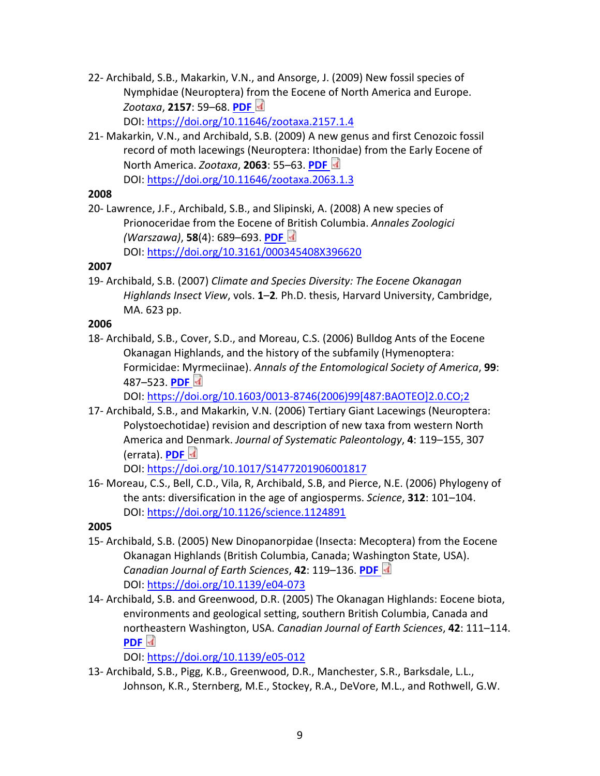22- Archibald, S.B., Makarkin, V.N., and Ansorge, J. (2009) New fossil species of Nymphidae (Neuroptera) from the Eocene of North America and Europe. *Zootaxa*, **2157**: 59–68. **[PDF](http://www.brucearchibald.com/docs/Archibald_et_al_2009.pdf)** DOI:<https://doi.org/10.11646/zootaxa.2157.1.4>

21- Makarkin, V.N., and Archibald, S.B. (2009) A new genus and first Cenozoic fossil record of moth lacewings (Neuroptera: Ithonidae) from the Early Eocene of North America. *Zootaxa*, **2063**: 55–63. **[PDF](http://www.brucearchibald.com/docs/Makarkin_and_Archibald_2009.pdf)** DOI:<https://doi.org/10.11646/zootaxa.2063.1.3>

#### **2008**

20- Lawrence, J.F., Archibald, S.B., and Slipinski, A. (2008) A new species of Prionoceridae from the Eocene of British Columbia. *Annales Zoologici (Warszawa)*, **58**(4): 689–693. **[PDF](http://www.brucearchibald.com/docs/Lawrence_et_al_2008.pdf)** DOI:<https://doi.org/10.3161/000345408X396620>

#### **2007**

19- Archibald, S.B. (2007) *Climate and Species Diversity: The Eocene Okanagan Highlands Insect View*, vols. **1**–**2***.* Ph.D. thesis, Harvard University, Cambridge, MA. 623 pp.

#### **2006**

18- Archibald, S.B., Cover, S.D., and Moreau, C.S. (2006) Bulldog Ants of the Eocene Okanagan Highlands, and the history of the subfamily (Hymenoptera: Formicidae: Myrmeciinae). *Annals of the Entomological Society of America*, **99**: 487–523. **[PDF](http://www.brucearchibald.com/docs/Archibald_et_al_2006.pdf)**

DOI: [https://doi.org/10.1603/0013-8746\(2006\)99\[487:BAOTEO\]2.0.CO;2](https://doi.org/10.1603/0013-8746(2006)99%5b487:BAOTEO%5d2.0.CO;2)

17- Archibald, S.B., and Makarkin, V.N. (2006) Tertiary Giant Lacewings (Neuroptera: Polystoechotidae) revision and description of new taxa from western North America and Denmark. *Journal of Systematic Paleontology*, **4**: 119–155, 307 (errata). **[PDF](http://www.brucearchibald.com/docs/Archibald_and_Makarkin_2006.pdf)**

DOI:<https://doi.org/10.1017/S1477201906001817>

16- Moreau, C.S., Bell, C.D., Vila, R, Archibald, S.B, and Pierce, N.E. (2006) Phylogeny of the ants: diversification in the age of angiosperms. *Science*, **312**: 101–104. DOI:<https://doi.org/10.1126/science.1124891>

#### **2005**

- 15- Archibald, S.B. (2005) New Dinopanorpidae (Insecta: Mecoptera) from the Eocene Okanagan Highlands (British Columbia, Canada; Washington State, USA). *Canadian Journal of Earth Sciences*, **42**: 119–136. **[PDF](http://www.brucearchibald.com/docs/Archibald-2005-Dinopanorpidae.pdf)** DOI:<https://doi.org/10.1139/e04-073>
- 14- Archibald, S.B. and Greenwood, D.R. (2005) The Okanagan Highlands: Eocene biota, environments and geological setting, southern British Columbia, Canada and northeastern Washington, USA. *Canadian Journal of Earth Sciences*, **42**: 111–114. **[PDF](http://www.brucearchibald.com/docs/Archibald-and-Greenwood-2005.pdf)**

DOI:<https://doi.org/10.1139/e05-012>

13- Archibald, S.B., Pigg, K.B., Greenwood, D.R., Manchester, S.R., Barksdale, L.L., Johnson, K.R., Sternberg, M.E., Stockey, R.A., DeVore, M.L., and Rothwell, G.W.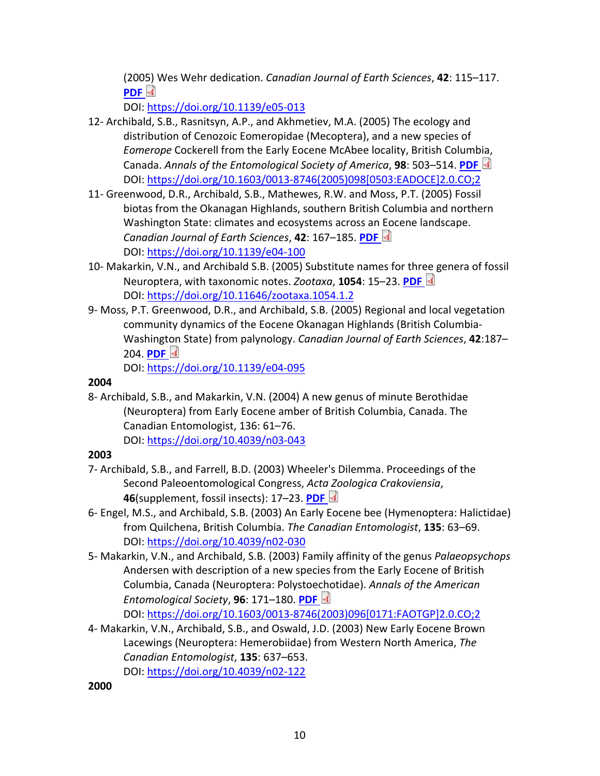(2005) Wes Wehr dedication. *Canadian Journal of Earth Sciences*, **42**: 115–117. **[PDF](http://www.brucearchibald.com/docs/Wes-Wehr-dedication-CJES-2005.pdf)**

DOI:<https://doi.org/10.1139/e05-013>

- 12- Archibald, S.B., Rasnitsyn, A.P., and Akhmetiev, M.A. (2005) The ecology and distribution of Cenozoic Eomeropidae (Mecoptera), and a new species of *Eomerope* Cockerell from the Early Eocene McAbee locality, British Columbia, Canada. *Annals of the Entomological Society of America*, **98**: 503–514. **[PDF](http://www.brucearchibald.com/docs/Archibald_et_al_2005.pdf)** DOI: [https://doi.org/10.1603/0013-8746\(2005\)098\[0503:EADOCE\]2.0.CO;2](https://doi.org/10.1603/0013-8746(2005)098%5b0503:EADOCE%5d2.0.CO;2)
- 11- Greenwood, D.R., Archibald, S.B., Mathewes, R.W. and Moss, P.T. (2005) Fossil biotas from the Okanagan Highlands, southern British Columbia and northern Washington State: climates and ecosystems across an Eocene landscape. *Canadian Journal of Earth Sciences*, **42**: 167–185. **[PDF](http://www.brucearchibald.com/docs/Greenwood-et-al-2005.pdf)** DOI:<https://doi.org/10.1139/e04-100>
- 10- Makarkin, V.N., and Archibald S.B. (2005) Substitute names for three genera of fossil Neuroptera, with taxonomic notes. *Zootaxa*, **1054**: 15–23. **[PDF](http://www.brucearchibald.com/docs/Makarkin_and_Archibald_2005.pdf)** DOI:<https://doi.org/10.11646/zootaxa.1054.1.2>
- 9- Moss, P.T. Greenwood, D.R., and Archibald, S.B. (2005) Regional and local vegetation community dynamics of the Eocene Okanagan Highlands (British Columbia-Washington State) from palynology. *Canadian Journal of Earth Sciences*, **42**:187– 204. **[PDF](http://www.brucearchibald.com/docs/Moss-et-al-2005.pdf)**

DOI:<https://doi.org/10.1139/e04-095>

#### **2004**

8- Archibald, S.B., and Makarkin, V.N. (2004) A new genus of minute Berothidae (Neuroptera) from Early Eocene amber of British Columbia, Canada. The Canadian Entomologist, 136: 61–76. DOI:<https://doi.org/10.4039/n03-043>

#### **2003**

- 7- Archibald, S.B., and Farrell, B.D. (2003) Wheeler's Dilemma. Proceedings of the Second Paleoentomological Congress, *Acta Zoologica Crakoviensia*, **46**(supplement, fossil insects): 17–23. **[PDF](http://www.brucearchibald.com/docs/Archibald_and_Farrell_2003.pdf)**
- 6- Engel, M.S., and Archibald, S.B. (2003) An Early Eocene bee (Hymenoptera: Halictidae) from Quilchena, British Columbia. *The Canadian Entomologist*, **135**: 63–69. DOI:<https://doi.org/10.4039/n02-030>
- 5- Makarkin, V.N., and Archibald, S.B. (2003) Family affinity of the genus *Palaeopsychops* Andersen with description of a new species from the Early Eocene of British Columbia, Canada (Neuroptera: Polystoechotidae). *Annals of the American Entomological Society*, **96**: 171–180. **[PDF](http://www.brucearchibald.com/docs/Makarkin_and_Archibald_2003.pdf)** DOI: [https://doi.org/10.1603/0013-8746\(2003\)096\[0171:FAOTGP\]2.0.CO;2](https://doi.org/10.1603/0013-8746(2003)096%5b0171:FAOTGP%5d2.0.CO;2)
- 4- Makarkin, V.N., Archibald, S.B., and Oswald, J.D. (2003) New Early Eocene Brown Lacewings (Neuroptera: Hemerobiidae) from Western North America, *The Canadian Entomologist*, **135**: 637–653. DOI:<https://doi.org/10.4039/n02-122>

**2000**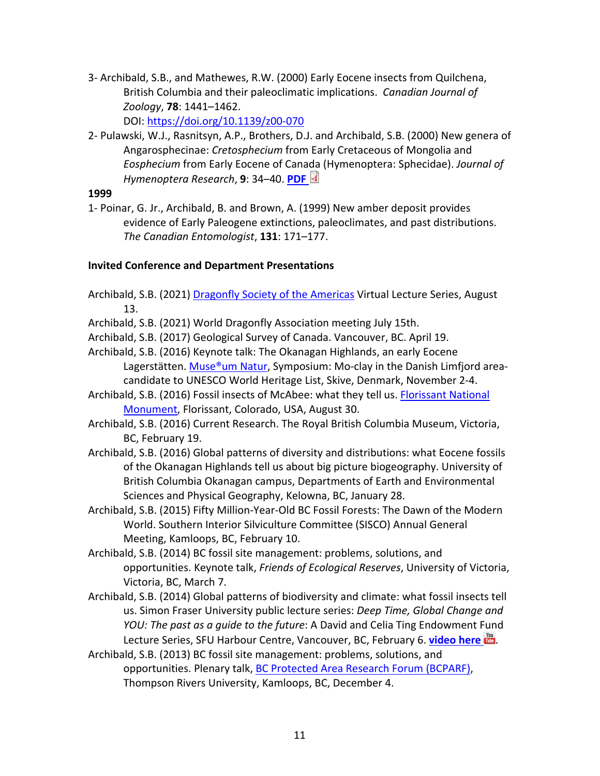3- Archibald, S.B., and Mathewes, R.W. (2000) Early Eocene insects from Quilchena, British Columbia and their paleoclimatic implications. *Canadian Journal of Zoology*, **78**: 1441–1462.

DOI:<https://doi.org/10.1139/z00-070>

2- Pulawski, W.J., Rasnitsyn, A.P., Brothers, D.J. and Archibald, S.B. (2000) New genera of Angarosphecinae: *Cretosphecium* from Early Cretaceous of Mongolia and *Eosphecium* from Early Eocene of Canada (Hymenoptera: Sphecidae). *Journal of Hymenoptera Research*, **9**: 34–40. **[PDF](http://www.brucearchibald.com/docs/Pulawski_et_al_2000.pdf)**

#### **1999**

1- Poinar, G. Jr., Archibald, B. and Brown, A. (1999) New amber deposit provides evidence of Early Paleogene extinctions, paleoclimates, and past distributions. *The Canadian Entomologist*, **131**: 171–177.

# **Invited Conference and Department Presentations**

- Archibald, S.B. (2021) [Dragonfly Society of the Americas](https://www.youtube.com/watch?v=lMaqGjuOxpc) Virtual Lecture Series, August 13.
- Archibald, S.B. (2021) World Dragonfly Association meeting July 15th.
- Archibald, S.B. (2017) Geological Survey of Canada. Vancouver, BC. April 19.
- Archibald, S.B. (2016) Keynote talk: The Okanagan Highlands, an early Eocene Lagerstätten. [Muse®um Natur,](http://www.muserum.org/kom-og-besog-os/fur-fossiler/) Symposium: Mo-clay in the Danish Limfjord areacandidate to UNESCO World Heritage List, Skive, Denmark, November 2-4.
- Archibald, S.B. (2016) Fossil insects of McAbee: what they tell us. [Florissant National](https://www.nps.gov/flfo/index.htm)  [Monument,](https://www.nps.gov/flfo/index.htm) Florissant, Colorado, USA, August 30.
- Archibald, S.B. (2016) Current Research. The Royal British Columbia Museum, Victoria, BC, February 19.
- Archibald, S.B. (2016) Global patterns of diversity and distributions: what Eocene fossils of the Okanagan Highlands tell us about big picture biogeography. University of British Columbia Okanagan campus, Departments of Earth and Environmental Sciences and Physical Geography, Kelowna, BC, January 28.
- Archibald, S.B. (2015) Fifty Million-Year-Old BC Fossil Forests: The Dawn of the Modern World. Southern Interior Silviculture Committee (SISCO) Annual General Meeting, Kamloops, BC, February 10.
- Archibald, S.B. (2014) BC fossil site management: problems, solutions, and opportunities. Keynote talk, *Friends of Ecological Reserves*, University of Victoria, Victoria, BC, March 7.
- Archibald, S.B. (2014) Global patterns of biodiversity and climate: what fossil insects tell us. Simon Fraser University public lecture series: *Deep Time, Global Change and YOU: The past as a guide to the future*: A David and Celia Ting Endowment Fund Lecture Series, SFU Harbour Centre, Vancouver, BC, February 6. **[video here](http://www.youtube.com/watch?v=un_E4hyekSs)** [.](http://www.youtube.com/watch?v=un_E4hyekSs)
- Archibald, S.B. (2013) BC fossil site management: problems, solutions, and opportunities. Plenary talk, [BC Protected Area Research Forum \(BCPARF\),](http://www.unbc.ca/bc-protected-area-research-forum) Thompson Rivers University, Kamloops, BC, December 4.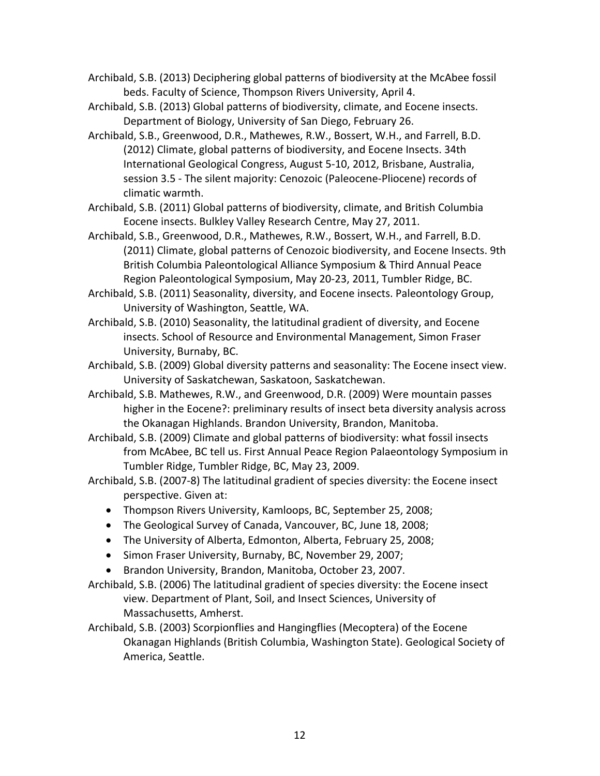Archibald, S.B. (2013) Deciphering global patterns of biodiversity at the McAbee fossil beds. Faculty of Science, Thompson Rivers University, April 4.

- Archibald, S.B. (2013) Global patterns of biodiversity, climate, and Eocene insects. Department of Biology, University of San Diego, February 26.
- Archibald, S.B., Greenwood, D.R., Mathewes, R.W., Bossert, W.H., and Farrell, B.D. (2012) Climate, global patterns of biodiversity, and Eocene Insects. 34th International Geological Congress, August 5-10, 2012, Brisbane, Australia, session 3.5 - The silent majority: Cenozoic (Paleocene-Pliocene) records of climatic warmth.
- Archibald, S.B. (2011) Global patterns of biodiversity, climate, and British Columbia Eocene insects. Bulkley Valley Research Centre, May 27, 2011.
- Archibald, S.B., Greenwood, D.R., Mathewes, R.W., Bossert, W.H., and Farrell, B.D. (2011) Climate, global patterns of Cenozoic biodiversity, and Eocene Insects. 9th British Columbia Paleontological Alliance Symposium & Third Annual Peace Region Paleontological Symposium, May 20-23, 2011, Tumbler Ridge, BC.
- Archibald, S.B. (2011) Seasonality, diversity, and Eocene insects. Paleontology Group, University of Washington, Seattle, WA.
- Archibald, S.B. (2010) Seasonality, the latitudinal gradient of diversity, and Eocene insects. School of Resource and Environmental Management, Simon Fraser University, Burnaby, BC.
- Archibald, S.B. (2009) Global diversity patterns and seasonality: The Eocene insect view. University of Saskatchewan, Saskatoon, Saskatchewan.
- Archibald, S.B. Mathewes, R.W., and Greenwood, D.R. (2009) Were mountain passes higher in the Eocene?: preliminary results of insect beta diversity analysis across the Okanagan Highlands. Brandon University, Brandon, Manitoba.
- Archibald, S.B. (2009) Climate and global patterns of biodiversity: what fossil insects from McAbee, BC tell us. First Annual Peace Region Palaeontology Symposium in Tumbler Ridge, Tumbler Ridge, BC, May 23, 2009.
- Archibald, S.B. (2007-8) The latitudinal gradient of species diversity: the Eocene insect perspective. Given at:
	- Thompson Rivers University, Kamloops, BC, September 25, 2008;
	- The Geological Survey of Canada, Vancouver, BC, June 18, 2008;
	- The University of Alberta, Edmonton, Alberta, February 25, 2008;
	- Simon Fraser University, Burnaby, BC, November 29, 2007;
	- Brandon University, Brandon, Manitoba, October 23, 2007.
- Archibald, S.B. (2006) The latitudinal gradient of species diversity: the Eocene insect view. Department of Plant, Soil, and Insect Sciences, University of Massachusetts, Amherst.
- Archibald, S.B. (2003) Scorpionflies and Hangingflies (Mecoptera) of the Eocene Okanagan Highlands (British Columbia, Washington State). Geological Society of America, Seattle.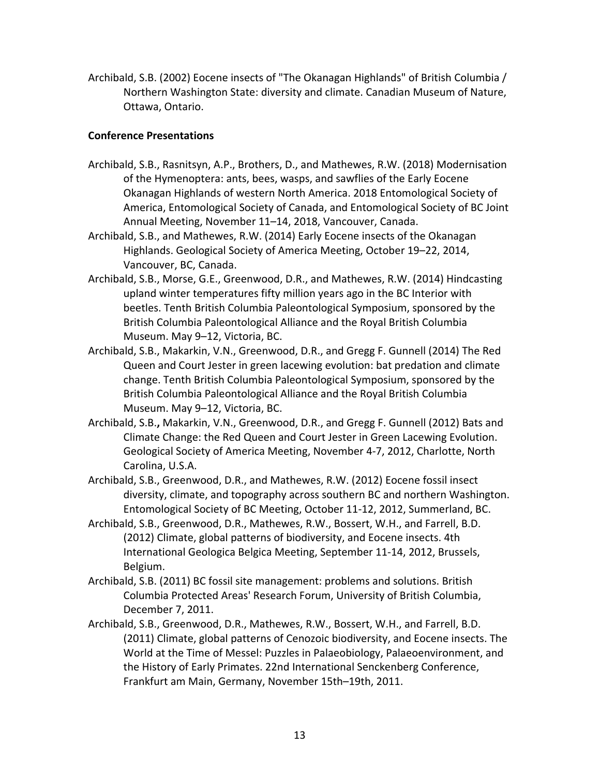Archibald, S.B. (2002) Eocene insects of "The Okanagan Highlands" of British Columbia / Northern Washington State: diversity and climate. Canadian Museum of Nature, Ottawa, Ontario.

#### **Conference Presentations**

- Archibald, S.B., Rasnitsyn, A.P., Brothers, D., and Mathewes, R.W. (2018) Modernisation of the Hymenoptera: ants, bees, wasps, and sawflies of the Early Eocene Okanagan Highlands of western North America. 2018 Entomological Society of America, Entomological Society of Canada, and Entomological Society of BC Joint Annual Meeting, November 11–14, 2018, Vancouver, Canada.
- Archibald, S.B., and Mathewes, R.W. (2014) Early Eocene insects of the Okanagan Highlands. Geological Society of America Meeting, October 19–22, 2014, Vancouver, BC, Canada.
- Archibald, S.B., Morse, G.E., Greenwood, D.R., and Mathewes, R.W. (2014) Hindcasting upland winter temperatures fifty million years ago in the BC Interior with beetles. Tenth British Columbia Paleontological Symposium, sponsored by the British Columbia Paleontological Alliance and the Royal British Columbia Museum. May 9–12, Victoria, BC.
- Archibald, S.B., Makarkin, V.N., Greenwood, D.R., and Gregg F. Gunnell (2014) The Red Queen and Court Jester in green lacewing evolution: bat predation and climate change. Tenth British Columbia Paleontological Symposium, sponsored by the British Columbia Paleontological Alliance and the Royal British Columbia Museum. May 9–12, Victoria, BC.
- Archibald, S.B.**,** Makarkin, V.N., Greenwood, D.R., and Gregg F. Gunnell (2012) Bats and Climate Change: the Red Queen and Court Jester in Green Lacewing Evolution. Geological Society of America Meeting, November 4-7, 2012, Charlotte, North Carolina, U.S.A.
- Archibald, S.B., Greenwood, D.R., and Mathewes, R.W. (2012) Eocene fossil insect diversity, climate, and topography across southern BC and northern Washington. Entomological Society of BC Meeting, October 11-12, 2012, Summerland, BC.
- Archibald, S.B., Greenwood, D.R., Mathewes, R.W., Bossert, W.H., and Farrell, B.D. (2012) Climate, global patterns of biodiversity, and Eocene insects. 4th International Geologica Belgica Meeting, September 11-14, 2012, Brussels, Belgium.
- Archibald, S.B. (2011) BC fossil site management: problems and solutions. British Columbia Protected Areas' Research Forum, University of British Columbia, December 7, 2011.
- Archibald, S.B., Greenwood, D.R., Mathewes, R.W., Bossert, W.H., and Farrell, B.D. (2011) Climate, global patterns of Cenozoic biodiversity, and Eocene insects. The World at the Time of Messel: Puzzles in Palaeobiology, Palaeoenvironment, and the History of Early Primates. 22nd International Senckenberg Conference, Frankfurt am Main, Germany, November 15th–19th, 2011.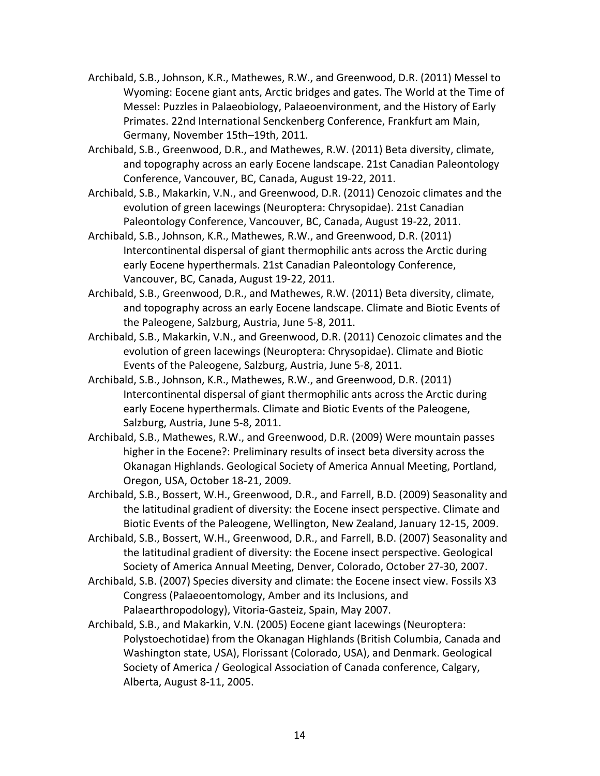- Archibald, S.B., Johnson, K.R., Mathewes, R.W., and Greenwood, D.R. (2011) Messel to Wyoming: Eocene giant ants, Arctic bridges and gates. The World at the Time of Messel: Puzzles in Palaeobiology, Palaeoenvironment, and the History of Early Primates. 22nd International Senckenberg Conference, Frankfurt am Main, Germany, November 15th–19th, 2011.
- Archibald, S.B., Greenwood, D.R., and Mathewes, R.W. (2011) Beta diversity, climate, and topography across an early Eocene landscape. 21st Canadian Paleontology Conference, Vancouver, BC, Canada, August 19-22, 2011.
- Archibald, S.B., Makarkin, V.N., and Greenwood, D.R. (2011) Cenozoic climates and the evolution of green lacewings (Neuroptera: Chrysopidae). 21st Canadian Paleontology Conference, Vancouver, BC, Canada, August 19-22, 2011.
- Archibald, S.B., Johnson, K.R., Mathewes, R.W., and Greenwood, D.R. (2011) Intercontinental dispersal of giant thermophilic ants across the Arctic during early Eocene hyperthermals. 21st Canadian Paleontology Conference, Vancouver, BC, Canada, August 19-22, 2011.
- Archibald, S.B., Greenwood, D.R., and Mathewes, R.W. (2011) Beta diversity, climate, and topography across an early Eocene landscape. Climate and Biotic Events of the Paleogene, Salzburg, Austria, June 5-8, 2011.
- Archibald, S.B., Makarkin, V.N., and Greenwood, D.R. (2011) Cenozoic climates and the evolution of green lacewings (Neuroptera: Chrysopidae). Climate and Biotic Events of the Paleogene, Salzburg, Austria, June 5-8, 2011.
- Archibald, S.B., Johnson, K.R., Mathewes, R.W., and Greenwood, D.R. (2011) Intercontinental dispersal of giant thermophilic ants across the Arctic during early Eocene hyperthermals. Climate and Biotic Events of the Paleogene, Salzburg, Austria, June 5-8, 2011.
- Archibald, S.B., Mathewes, R.W., and Greenwood, D.R. (2009) Were mountain passes higher in the Eocene?: Preliminary results of insect beta diversity across the Okanagan Highlands. Geological Society of America Annual Meeting, Portland, Oregon, USA, October 18-21, 2009.
- Archibald, S.B., Bossert, W.H., Greenwood, D.R., and Farrell, B.D. (2009) Seasonality and the latitudinal gradient of diversity: the Eocene insect perspective. Climate and Biotic Events of the Paleogene, Wellington, New Zealand, January 12-15, 2009.
- Archibald, S.B., Bossert, W.H., Greenwood, D.R., and Farrell, B.D. (2007) Seasonality and the latitudinal gradient of diversity: the Eocene insect perspective. Geological Society of America Annual Meeting, Denver, Colorado, October 27-30, 2007.
- Archibald, S.B. (2007) Species diversity and climate: the Eocene insect view. Fossils X3 Congress (Palaeoentomology, Amber and its Inclusions, and Palaearthropodology), Vitoria-Gasteiz, Spain, May 2007.
- Archibald, S.B., and Makarkin, V.N. (2005) Eocene giant lacewings (Neuroptera: Polystoechotidae) from the Okanagan Highlands (British Columbia, Canada and Washington state, USA), Florissant (Colorado, USA), and Denmark. Geological Society of America / Geological Association of Canada conference, Calgary, Alberta, August 8-11, 2005.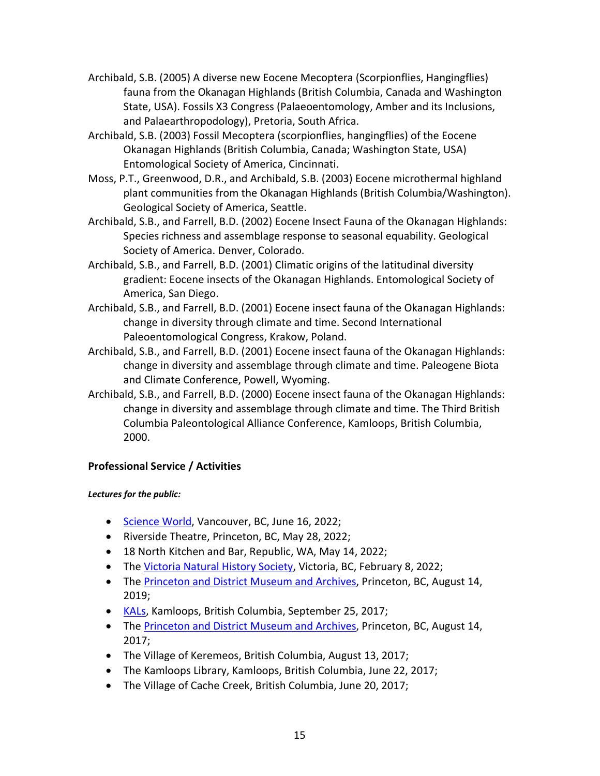- Archibald, S.B. (2005) A diverse new Eocene Mecoptera (Scorpionflies, Hangingflies) fauna from the Okanagan Highlands (British Columbia, Canada and Washington State, USA). Fossils X3 Congress (Palaeoentomology, Amber and its Inclusions, and Palaearthropodology), Pretoria, South Africa.
- Archibald, S.B. (2003) Fossil Mecoptera (scorpionflies, hangingflies) of the Eocene Okanagan Highlands (British Columbia, Canada; Washington State, USA) Entomological Society of America, Cincinnati.
- Moss, P.T., Greenwood, D.R., and Archibald, S.B. (2003) Eocene microthermal highland plant communities from the Okanagan Highlands (British Columbia/Washington). Geological Society of America, Seattle.
- Archibald, S.B., and Farrell, B.D. (2002) Eocene Insect Fauna of the Okanagan Highlands: Species richness and assemblage response to seasonal equability. Geological Society of America. Denver, Colorado.
- Archibald, S.B., and Farrell, B.D. (2001) Climatic origins of the latitudinal diversity gradient: Eocene insects of the Okanagan Highlands. Entomological Society of America, San Diego.
- Archibald, S.B., and Farrell, B.D. (2001) Eocene insect fauna of the Okanagan Highlands: change in diversity through climate and time. Second International Paleoentomological Congress, Krakow, Poland.
- Archibald, S.B., and Farrell, B.D. (2001) Eocene insect fauna of the Okanagan Highlands: change in diversity and assemblage through climate and time. Paleogene Biota and Climate Conference, Powell, Wyoming.
- Archibald, S.B., and Farrell, B.D. (2000) Eocene insect fauna of the Okanagan Highlands: change in diversity and assemblage through climate and time. The Third British Columbia Paleontological Alliance Conference, Kamloops, British Columbia, 2000.

# **Professional Service / Activities**

#### *Lectures for the public:*

- [Science World,](https://www.scienceworld.ca/) Vancouver, BC, June 16, 2022;
- Riverside Theatre, Princeton, BC, May 28, 2022;
- 18 North Kitchen and Bar, Republic, WA, May 14, 2022;
- The [Victoria Natural History Society,](https://www.vicnhs.bc.ca/) Victoria, BC, February 8, 2022;
- The [Princeton and District Museum and Archives,](http://www.princetonmuseum.org/Princeton_Museum/Home.html) Princeton, BC, August 14, 2019;
- [KALs,](http://www.kals.ca/) Kamloops, British Columbia, September 25, 2017;
- The [Princeton and District Museum and Archives,](http://www.princetonmuseum.org/Princeton_Museum/Home.html) Princeton, BC, August 14, 2017;
- The Village of Keremeos, British Columbia, August 13, 2017;
- The Kamloops Library, Kamloops, British Columbia, June 22, 2017;
- The Village of Cache Creek, British Columbia, June 20, 2017;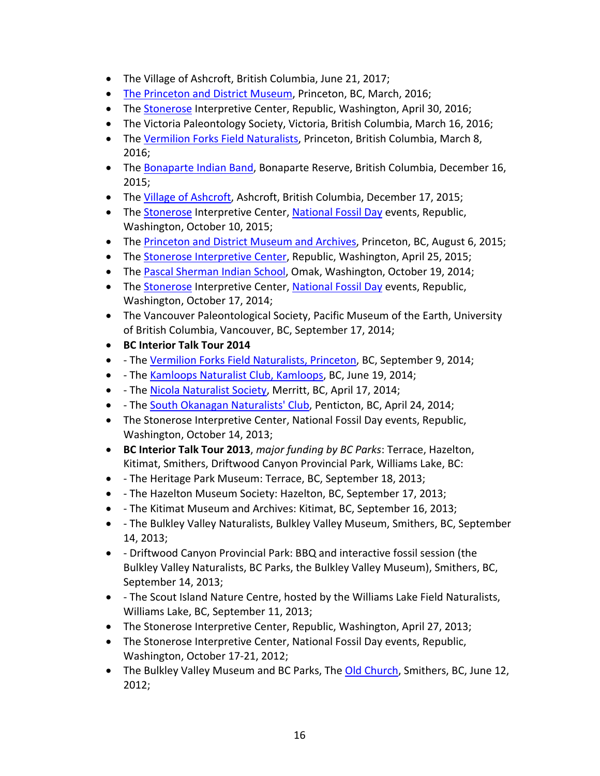- The Village of Ashcroft, British Columbia, June 21, 2017;
- [The Princeton and District Museum,](http://www.princetonmuseum.org/Princeton_Museum/Home.html) Princeton, BC, March, 2016;
- The [Stonerose](http://www.stonerosefossil.org/) Interpretive Center, Republic, Washington, April 30, 2016;
- The Victoria Paleontology Society, Victoria, British Columbia, March 16, 2016;
- The [Vermilion Forks Field Naturalists,](http://www.vffn.ca/) Princeton, British Columbia, March 8, 2016;
- The [Bonaparte Indian Band,](http://www.bonaparteindianband.com/) Bonaparte Reserve, British Columbia, December 16, 2015;
- The [Village of Ashcroft,](http://www.ashcroftbc.ca/) Ashcroft, British Columbia, December 17, 2015;
- The [Stonerose](http://www.stonerosefossil.org/) Interpretive Center, [National Fossil Day](http://nature.nps.gov/geology/nationalfossilday/) events, Republic, Washington, October 10, 2015;
- The [Princeton and District Museum and Archives,](http://www.princetonmuseum.org/Princeton_Museum/Home.html) Princeton, BC, August 6, 2015;
- The [Stonerose Interpretive Center,](http://stonerosefossil.org/) Republic, Washington, April 25, 2015;
- The [Pascal Sherman Indian School,](http://www.psischiefs.org/) Omak, Washington, October 19, 2014;
- The [Stonerose](http://www.stonerosefossil.org/) Interpretive Center, [National Fossil Day](http://nature.nps.gov/geology/nationalfossilday/) events, Republic, Washington, October 17, 2014;
- The Vancouver Paleontological Society, Pacific Museum of the Earth, University of British Columbia, Vancouver, BC, September 17, 2014;
- **BC Interior Talk Tour 2014**
- - The [Vermilion Forks Field Naturalists, Princeton,](http://www.bcnature.ca/clubs-and-notices/regions/thompson-okanagan/vermilion-forks-field-naturalists-princeton/) BC, September 9, 2014;
- - The [Kamloops Naturalist Club, Kamloops,](http://www.bcnature.ca/clubs-and-notices/regions/thompson-okanagan/kamloops-naturalist-club/) BC, June 19, 2014;
- - The [Nicola Naturalist Society,](http://www.nicolanaturalists.ca/) Merritt, BC, April 17, 2014;
- - The [South Okanagan Naturalists' Club,](http://southokanagannature.com/) Penticton, BC, April 24, 2014;
- The Stonerose Interpretive Center, National Fossil Day events, Republic, Washington, October 14, 2013;
- **BC Interior Talk Tour 2013**, *major funding by BC Parks*: Terrace, Hazelton, Kitimat, Smithers, Driftwood Canyon Provincial Park, Williams Lake, BC:
- - The Heritage Park Museum: Terrace, BC, September 18, 2013;
- - The Hazelton Museum Society: Hazelton, BC, September 17, 2013;
- - The Kitimat Museum and Archives: Kitimat, BC, September 16, 2013;
- - The Bulkley Valley Naturalists, Bulkley Valley Museum, Smithers, BC, September 14, 2013;
- - Driftwood Canyon Provincial Park: BBQ and interactive fossil session (the Bulkley Valley Naturalists, BC Parks, the Bulkley Valley Museum), Smithers, BC, September 14, 2013;
- - The Scout Island Nature Centre, hosted by the Williams Lake Field Naturalists, Williams Lake, BC, September 11, 2013;
- The Stonerose Interpretive Center, Republic, Washington, April 27, 2013;
- The Stonerose Interpretive Center, National Fossil Day events, Republic, Washington, October 17-21, 2012;
- The Bulkley Valley Museum and BC Parks, The [Old Church,](http://www.smithers.ca/uploads/visitors/photos/attractions-photos/old_church.jpg) Smithers, BC, June 12, 2012;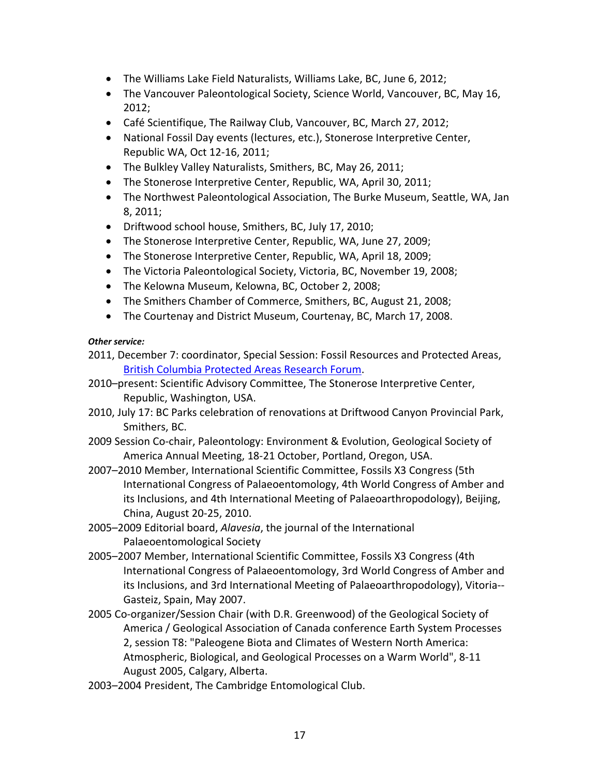- The Williams Lake Field Naturalists, Williams Lake, BC, June 6, 2012;
- The Vancouver Paleontological Society, Science World, Vancouver, BC, May 16, 2012;
- Café Scientifique, The Railway Club, Vancouver, BC, March 27, 2012;
- National Fossil Day events (lectures, etc.), Stonerose Interpretive Center, Republic WA, Oct 12-16, 2011;
- The Bulkley Valley Naturalists, Smithers, BC, May 26, 2011;
- The Stonerose Interpretive Center, Republic, WA, April 30, 2011;
- The Northwest Paleontological Association, The Burke Museum, Seattle, WA, Jan 8, 2011;
- Driftwood school house, Smithers, BC, July 17, 2010;
- The Stonerose Interpretive Center, Republic, WA, June 27, 2009;
- The Stonerose Interpretive Center, Republic, WA, April 18, 2009;
- The Victoria Paleontological Society, Victoria, BC, November 19, 2008;
- The Kelowna Museum, Kelowna, BC, October 2, 2008;
- The Smithers Chamber of Commerce, Smithers, BC, August 21, 2008;
- The Courtenay and District Museum, Courtenay, BC, March 17, 2008.

*Other service:*

- 2011, December 7: coordinator, Special Session: Fossil Resources and Protected Areas, [British Columbia Protected Areas Research Forum.](http://www.unbc.ca/bcparf/)
- 2010–present: Scientific Advisory Committee, The Stonerose Interpretive Center, Republic, Washington, USA.
- 2010, July 17: BC Parks celebration of renovations at Driftwood Canyon Provincial Park, Smithers, BC.
- 2009 Session Co-chair, Paleontology: Environment & Evolution, Geological Society of America Annual Meeting, 18-21 October, Portland, Oregon, USA.
- 2007–2010 Member, International Scientific Committee, Fossils X3 Congress (5th International Congress of Palaeoentomology, 4th World Congress of Amber and its Inclusions, and 4th International Meeting of Palaeoarthropodology), Beijing, China, August 20-25, 2010.
- 2005–2009 Editorial board, *Alavesia*, the journal of the International Palaeoentomological Society
- 2005–2007 Member, International Scientific Committee, Fossils X3 Congress (4th International Congress of Palaeoentomology, 3rd World Congress of Amber and its Inclusions, and 3rd International Meeting of Palaeoarthropodology), Vitoria-- Gasteiz, Spain, May 2007.
- 2005 Co-organizer/Session Chair (with D.R. Greenwood) of the Geological Society of America / Geological Association of Canada conference Earth System Processes 2, session T8: "Paleogene Biota and Climates of Western North America: Atmospheric, Biological, and Geological Processes on a Warm World", 8-11 August 2005, Calgary, Alberta.
- 2003–2004 President, The Cambridge Entomological Club.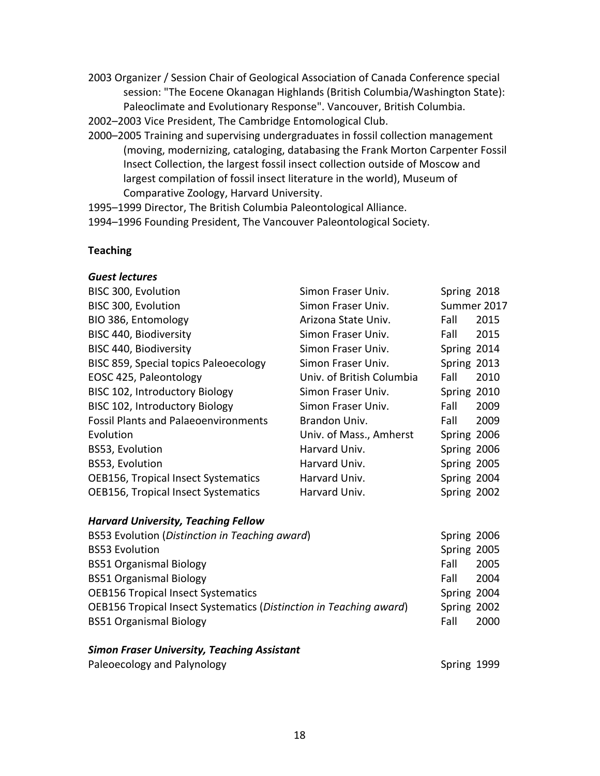- 2003 Organizer / Session Chair of Geological Association of Canada Conference special session: "The Eocene Okanagan Highlands (British Columbia/Washington State): Paleoclimate and Evolutionary Response". Vancouver, British Columbia.
- 2002–2003 Vice President, The Cambridge Entomological Club.
- 2000–2005 Training and supervising undergraduates in fossil collection management (moving, modernizing, cataloging, databasing the Frank Morton Carpenter Fossil Insect Collection, the largest fossil insect collection outside of Moscow and largest compilation of fossil insect literature in the world), Museum of Comparative Zoology, Harvard University.
- 1995–1999 Director, The British Columbia Paleontological Alliance.
- 1994–1996 Founding President, The Vancouver Paleontological Society.

#### **Teaching**

#### *Guest lectures*

| BISC 300, Evolution                                                | Simon Fraser Univ.        | Spring 2018 |             |
|--------------------------------------------------------------------|---------------------------|-------------|-------------|
| BISC 300, Evolution                                                | Simon Fraser Univ.        |             | Summer 2017 |
| BIO 386, Entomology                                                | Arizona State Univ.       | Fall        | 2015        |
| BISC 440, Biodiversity                                             | Simon Fraser Univ.        | Fall        | 2015        |
| BISC 440, Biodiversity                                             | Simon Fraser Univ.        | Spring 2014 |             |
| BISC 859, Special topics Paleoecology                              | Simon Fraser Univ.        | Spring 2013 |             |
| EOSC 425, Paleontology                                             | Univ. of British Columbia | Fall        | 2010        |
| BISC 102, Introductory Biology                                     | Simon Fraser Univ.        | Spring 2010 |             |
| BISC 102, Introductory Biology                                     | Simon Fraser Univ.        | Fall        | 2009        |
| <b>Fossil Plants and Palaeoenvironments</b>                        | Brandon Univ.             | Fall        | 2009        |
| Evolution                                                          | Univ. of Mass., Amherst   | Spring 2006 |             |
| BS53, Evolution                                                    | Harvard Univ.             | Spring 2006 |             |
| BS53, Evolution                                                    | Harvard Univ.             | Spring 2005 |             |
| <b>OEB156, Tropical Insect Systematics</b>                         | Harvard Univ.             | Spring 2004 |             |
| <b>OEB156, Tropical Insect Systematics</b>                         | Harvard Univ.             | Spring 2002 |             |
| <b>Harvard University, Teaching Fellow</b>                         |                           |             |             |
| BS53 Evolution (Distinction in Teaching award)                     |                           | Spring 2006 |             |
| <b>BS53 Evolution</b>                                              |                           | Spring 2005 |             |
| <b>BS51 Organismal Biology</b>                                     |                           | Fall        | 2005        |
| <b>BS51 Organismal Biology</b>                                     |                           | Fall        | 2004        |
| <b>OEB156 Tropical Insect Systematics</b>                          |                           | Spring 2004 |             |
| OEB156 Tropical Insect Systematics (Distinction in Teaching award) |                           | Spring 2002 |             |
| <b>BS51 Organismal Biology</b>                                     |                           | Fall        | 2000        |
| <b>Simon Fraser University, Teaching Assistant</b>                 |                           |             |             |

Paleoecology and Palynology Spring 1999